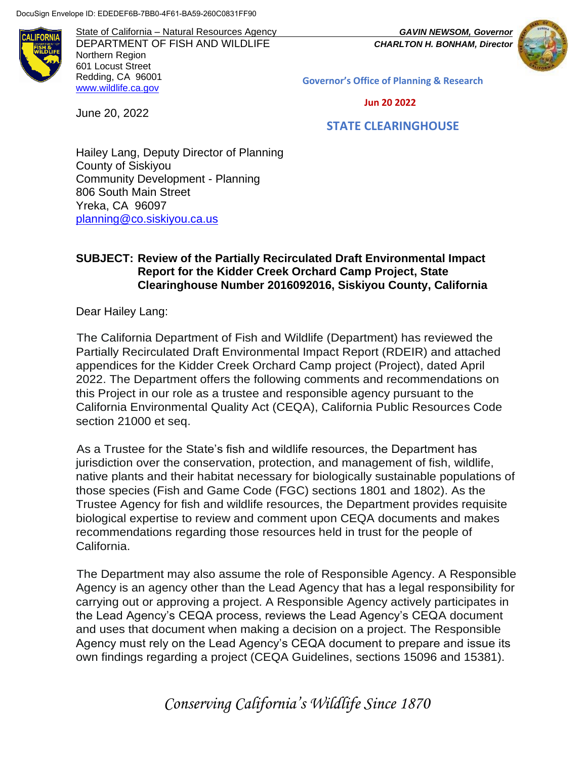June 20, 2022

State of California – Natural Resources Agency *GAVIN NEWSOM, Governor* DEPARTMENT OF FISH AND WILDLIFE *CHARLTON H. BONHAM, Director*  Northern Region 601 Locust Street Redding, CA 96001 [www.wildlife.ca.gov](http://www.cdfw.ca.gov/)

**Governor's Office of Planning & Research**

 **Jun 20 2022**

#### **STATE CLEARINGHOUSE**

Hailey Lang, Deputy Director of Planning County of Siskiyou Community Development - Planning 806 South Main Street Yreka, CA 96097 [planning@co.siskiyou.ca.us](mailto:planning@co.siskiyou.ca.us)

#### **SUBJECT: Review of the Partially Recirculated Draft Environmental Impact Report for the Kidder Creek Orchard Camp Project, State Clearinghouse Number 2016092016, Siskiyou County, California**

Dear Hailey Lang:

The California Department of Fish and Wildlife (Department) has reviewed the Partially Recirculated Draft Environmental Impact Report (RDEIR) and attached appendices for the Kidder Creek Orchard Camp project (Project), dated April 2022. The Department offers the following comments and recommendations on this Project in our role as a trustee and responsible agency pursuant to the California Environmental Quality Act (CEQA), California Public Resources Code section 21000 et seq.

As a Trustee for the State's fish and wildlife resources, the Department has jurisdiction over the conservation, protection, and management of fish, wildlife, native plants and their habitat necessary for biologically sustainable populations of those species (Fish and Game Code (FGC) sections 1801 and 1802). As the Trustee Agency for fish and wildlife resources, the Department provides requisite biological expertise to review and comment upon CEQA documents and makes recommendations regarding those resources held in trust for the people of California.

The Department may also assume the role of Responsible Agency. A Responsible Agency is an agency other than the Lead Agency that has a legal responsibility for carrying out or approving a project. A Responsible Agency actively participates in the Lead Agency's CEQA process, reviews the Lead Agency's CEQA document and uses that document when making a decision on a project. The Responsible Agency must rely on the Lead Agency's CEQA document to prepare and issue its own findings regarding a project (CEQA Guidelines, sections 15096 and 15381).

*Conserving California's Wildlife Since 1870*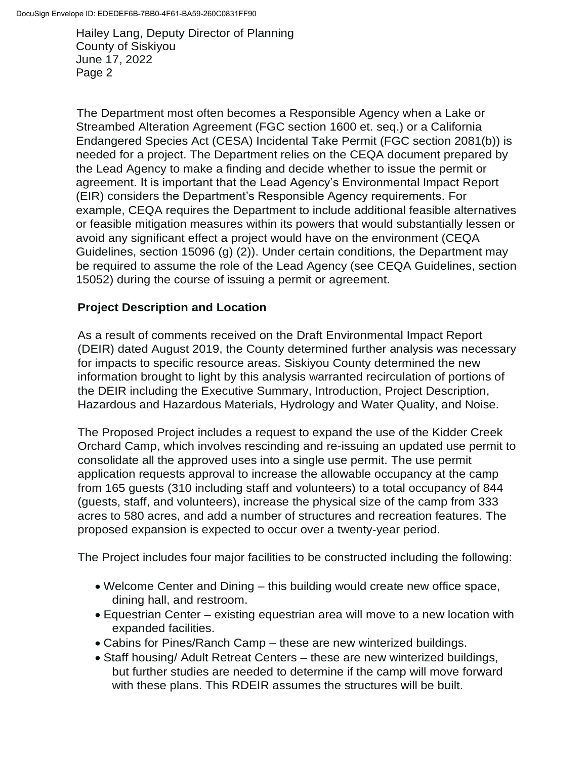The Department most often becomes a Responsible Agency when a Lake or Streambed Alteration Agreement (FGC section 1600 et. seq.) or a California Endangered Species Act (CESA) Incidental Take Permit (FGC section 2081(b)) is needed for a project. The Department relies on the CEQA document prepared by the Lead Agency to make a finding and decide whether to issue the permit or agreement. It is important that the Lead Agency's Environmental Impact Report (EIR) considers the Department's Responsible Agency requirements. For example, CEQA requires the Department to include additional feasible alternatives or feasible mitigation measures within its powers that would substantially lessen or avoid any significant effect a project would have on the environment (CEQA Guidelines, section 15096 (g) (2)). Under certain conditions, the Department may be required to assume the role of the Lead Agency (see CEQA Guidelines, section 15052) during the course of issuing a permit or agreement.

### **Project Description and Location**

As a result of comments received on the Draft Environmental Impact Report (DEIR) dated August 2019, the County determined further analysis was necessary for impacts to specific resource areas. Siskiyou County determined the new information brought to light by this analysis warranted recirculation of portions of the DEIR including the Executive Summary, Introduction, Project Description, Hazardous and Hazardous Materials, Hydrology and Water Quality, and Noise.

The Proposed Project includes a request to expand the use of the Kidder Creek Orchard Camp, which involves rescinding and re-issuing an updated use permit to consolidate all the approved uses into a single use permit. The use permit application requests approval to increase the allowable occupancy at the camp from 165 guests (310 including staff and volunteers) to a total occupancy of 844 (guests, staff, and volunteers), increase the physical size of the camp from 333 acres to 580 acres, and add a number of structures and recreation features. The proposed expansion is expected to occur over a twenty-year period.

The Project includes four major facilities to be constructed including the following:

- Welcome Center and Dining this building would create new office space, dining hall, and restroom.
- Equestrian Center existing equestrian area will move to a new location with expanded facilities.
- Cabins for Pines/Ranch Camp these are new winterized buildings.
- Staff housing/ Adult Retreat Centers these are new winterized buildings, but further studies are needed to determine if the camp will move forward with these plans. This RDEIR assumes the structures will be built.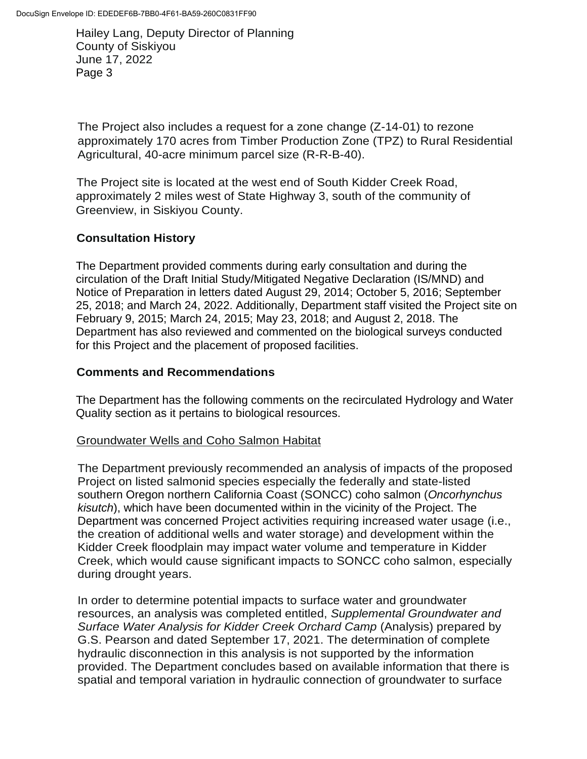The Project also includes a request for a zone change (Z-14-01) to rezone approximately 170 acres from Timber Production Zone (TPZ) to Rural Residential Agricultural, 40-acre minimum parcel size (R-R-B-40).

The Project site is located at the west end of South Kidder Creek Road, approximately 2 miles west of State Highway 3, south of the community of Greenview, in Siskiyou County.

# **Consultation History**

The Department provided comments during early consultation and during the circulation of the Draft Initial Study/Mitigated Negative Declaration (IS/MND) and Notice of Preparation in letters dated August 29, 2014; October 5, 2016; September 25, 2018; and March 24, 2022. Additionally, Department staff visited the Project site on February 9, 2015; March 24, 2015; May 23, 2018; and August 2, 2018. The Department has also reviewed and commented on the biological surveys conducted for this Project and the placement of proposed facilities.

# **Comments and Recommendations**

The Department has the following comments on the recirculated Hydrology and Water Quality section as it pertains to biological resources.

# Groundwater Wells and Coho Salmon Habitat

The Department previously recommended an analysis of impacts of the proposed Project on listed salmonid species especially the federally and state-listed southern Oregon northern California Coast (SONCC) coho salmon (*Oncorhynchus kisutch*), which have been documented within in the vicinity of the Project. The Department was concerned Project activities requiring increased water usage (i.e., the creation of additional wells and water storage) and development within the Kidder Creek floodplain may impact water volume and temperature in Kidder Creek, which would cause significant impacts to SONCC coho salmon, especially during drought years.

In order to determine potential impacts to surface water and groundwater resources, an analysis was completed entitled, *Supplemental Groundwater and Surface Water Analysis for Kidder Creek Orchard Camp* (Analysis) prepared by G.S. Pearson and dated September 17, 2021. The determination of complete hydraulic disconnection in this analysis is not supported by the information provided. The Department concludes based on available information that there is spatial and temporal variation in hydraulic connection of groundwater to surface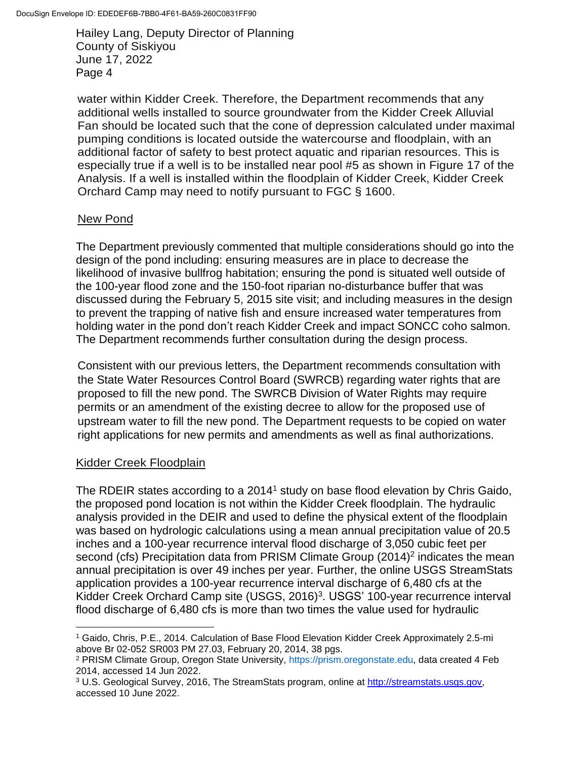water within Kidder Creek. Therefore, the Department recommends that any additional wells installed to source groundwater from the Kidder Creek Alluvial Fan should be located such that the cone of depression calculated under maximal pumping conditions is located outside the watercourse and floodplain, with an additional factor of safety to best protect aquatic and riparian resources. This is especially true if a well is to be installed near pool #5 as shown in Figure 17 of the Analysis. If a well is installed within the floodplain of Kidder Creek, Kidder Creek Orchard Camp may need to notify pursuant to FGC § 1600.

#### New Pond

The Department previously commented that multiple considerations should go into the design of the pond including: ensuring measures are in place to decrease the likelihood of invasive bullfrog habitation; ensuring the pond is situated well outside of the 100-year flood zone and the 150-foot riparian no-disturbance buffer that was discussed during the February 5, 2015 site visit; and including measures in the design to prevent the trapping of native fish and ensure increased water temperatures from holding water in the pond don't reach Kidder Creek and impact SONCC coho salmon. The Department recommends further consultation during the design process.

Consistent with our previous letters, the Department recommends consultation with the State Water Resources Control Board (SWRCB) regarding water rights that are proposed to fill the new pond. The SWRCB Division of Water Rights may require permits or an amendment of the existing decree to allow for the proposed use of upstream water to fill the new pond. The Department requests to be copied on water right applications for new permits and amendments as well as final authorizations.

# Kidder Creek Floodplain

The RDEIR states according to a 2014<sup>1</sup> study on base flood elevation by Chris Gaido, the proposed pond location is not within the Kidder Creek floodplain. The hydraulic analysis provided in the DEIR and used to define the physical extent of the floodplain was based on hydrologic calculations using a mean annual precipitation value of 20.5 inches and a 100-year recurrence interval flood discharge of 3,050 cubic feet per second (cfs) Precipitation data from PRISM Climate Group  $(2014)^2$  indicates the mean annual precipitation is over 49 inches per year. Further, the online USGS StreamStats application provides a 100-year recurrence interval discharge of 6,480 cfs at the Kidder Creek Orchard Camp site (USGS, 2016)<sup>3</sup>. USGS' 100-year recurrence interval flood discharge of 6,480 cfs is more than two times the value used for hydraulic

<sup>1</sup> Gaido, Chris, P.E., 2014. Calculation of Base Flood Elevation Kidder Creek Approximately 2.5-mi above Br 02-052 SR003 PM 27.03, February 20, 2014, 38 pgs.

<sup>2</sup> PRISM Climate Group, Oregon State University, https://prism.oregonstate.edu, data created 4 Feb 2014, accessed 14 Jun 2022.

<sup>3</sup> U.S. Geological Survey, 2016, The StreamStats program, online at [http://streamstats.usgs.gov,](http://streamstats.usgs.gov/) accessed 10 June 2022.